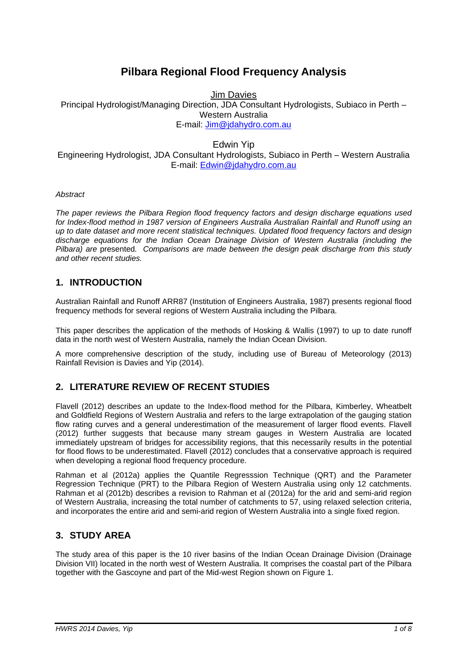# **Pilbara Regional Flood Frequency Analysis**

Jim Davies

Principal Hydrologist/Managing Direction, JDA Consultant Hydrologists, Subiaco in Perth – Western Australia E-mail: Jim@jdahydro.com.au

#### Edwin Yip

Engineering Hydrologist, JDA Consultant Hydrologists, Subiaco in Perth – Western Australia E-mail: Edwin@jdahydro.com.au

*Abstract* 

*The paper reviews the Pilbara Region flood frequency factors and design discharge equations used for Index-flood method in 1987 version of Engineers Australia Australian Rainfall and Runoff using an up to date dataset and more recent statistical techniques. Updated flood frequency factors and design discharge equations for the Indian Ocean Drainage Division of Western Australia (including the Pilbara) are* presented*. Comparisons are made between the design peak discharge from this study and other recent studies.* 

### **1. INTRODUCTION**

Australian Rainfall and Runoff ARR87 (Institution of Engineers Australia, 1987) presents regional flood frequency methods for several regions of Western Australia including the Pilbara.

This paper describes the application of the methods of Hosking & Wallis (1997) to up to date runoff data in the north west of Western Australia, namely the Indian Ocean Division.

A more comprehensive description of the study, including use of Bureau of Meteorology (2013) Rainfall Revision is Davies and Yip (2014).

# **2. LITERATURE REVIEW OF RECENT STUDIES**

Flavell (2012) describes an update to the Index-flood method for the Pilbara, Kimberley, Wheatbelt and Goldfield Regions of Western Australia and refers to the large extrapolation of the gauging station flow rating curves and a general underestimation of the measurement of larger flood events. Flavell (2012) further suggests that because many stream gauges in Western Australia are located immediately upstream of bridges for accessibility regions, that this necessarily results in the potential for flood flows to be underestimated. Flavell (2012) concludes that a conservative approach is required when developing a regional flood frequency procedure.

Rahman et al (2012a) applies the Quantile Regresssion Technique (QRT) and the Parameter Regression Technique (PRT) to the Pilbara Region of Western Australia using only 12 catchments. Rahman et al (2012b) describes a revision to Rahman et al (2012a) for the arid and semi-arid region of Western Australia, increasing the total number of catchments to 57, using relaxed selection criteria, and incorporates the entire arid and semi-arid region of Western Australia into a single fixed region.

# **3. STUDY AREA**

The study area of this paper is the 10 river basins of the Indian Ocean Drainage Division (Drainage Division VII) located in the north west of Western Australia. It comprises the coastal part of the Pilbara together with the Gascoyne and part of the Mid-west Region shown on Figure 1.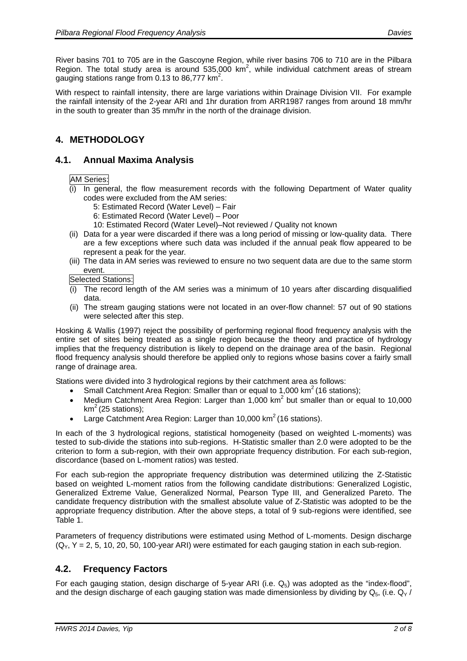River basins 701 to 705 are in the Gascoyne Region, while river basins 706 to 710 are in the Pilbara Region. The total study area is around  $535,000$  km<sup>2</sup>, while individual catchment areas of stream gauging stations range from 0.13 to 86,777  $km^2$ .

With respect to rainfall intensity, there are large variations within Drainage Division VII. For example the rainfall intensity of the 2-year ARI and 1hr duration from ARR1987 ranges from around 18 mm/hr in the south to greater than 35 mm/hr in the north of the drainage division.

# **4. METHODOLOGY**

# **4.1. Annual Maxima Analysis**

#### AM Series:

- (i) In general, the flow measurement records with the following Department of Water quality codes were excluded from the AM series:
	- 5: Estimated Record (Water Level) Fair
	- 6: Estimated Record (Water Level) Poor
	- 10: Estimated Record (Water Level)–Not reviewed / Quality not known
- (ii) Data for a year were discarded if there was a long period of missing or low-quality data. There are a few exceptions where such data was included if the annual peak flow appeared to be represent a peak for the year.
- (iii) The data in AM series was reviewed to ensure no two sequent data are due to the same storm event.

Selected Stations:

- $(i)$  The record length of the AM series was a minimum of 10 years after discarding disqualified data.
- (ii) The stream gauging stations were not located in an over-flow channel: 57 out of 90 stations were selected after this step.

Hosking & Wallis (1997) reject the possibility of performing regional flood frequency analysis with the entire set of sites being treated as a single region because the theory and practice of hydrology implies that the frequency distribution is likely to depend on the drainage area of the basin. Regional flood frequency analysis should therefore be applied only to regions whose basins cover a fairly small range of drainage area.

Stations were divided into 3 hydrological regions by their catchment area as follows:

- Small Catchment Area Region: Smaller than or equal to 1,000  $\text{km}^2$  (16 stations);
- Medium Catchment Area Region: Larger than 1,000  $km^2$  but smaller than or equal to 10,000  $km<sup>2</sup>$  (25 stations);
- Large Catchment Area Region: Larger than  $10,000$  km<sup>2</sup> (16 stations).

In each of the 3 hydrological regions, statistical homogeneity (based on weighted L-moments) was tested to sub-divide the stations into sub-regions. H-Statistic smaller than 2.0 were adopted to be the criterion to form a sub-region, with their own appropriate frequency distribution. For each sub-region, discordance (based on L-moment ratios) was tested.

For each sub-region the appropriate frequency distribution was determined utilizing the Z-Statistic based on weighted L-moment ratios from the following candidate distributions: Generalized Logistic, Generalized Extreme Value, Generalized Normal, Pearson Type III, and Generalized Pareto. The candidate frequency distribution with the smallest absolute value of Z-Statistic was adopted to be the appropriate frequency distribution. After the above steps, a total of 9 sub-regions were identified, see Table 1.

Parameters of frequency distributions were estimated using Method of L-moments. Design discharge  $(Q<sub>Y</sub>, Y = 2, 5, 10, 20, 50, 100$ -year ARI) were estimated for each gauging station in each sub-region.

### **4.2. Frequency Factors**

For each gauging station, design discharge of 5-year ARI (i.e.  $Q_5$ ) was adopted as the "index-flood", and the design discharge of each gauging station was made dimensionless by dividing by  $Q_5$ , (i.e.  $Q_y$  /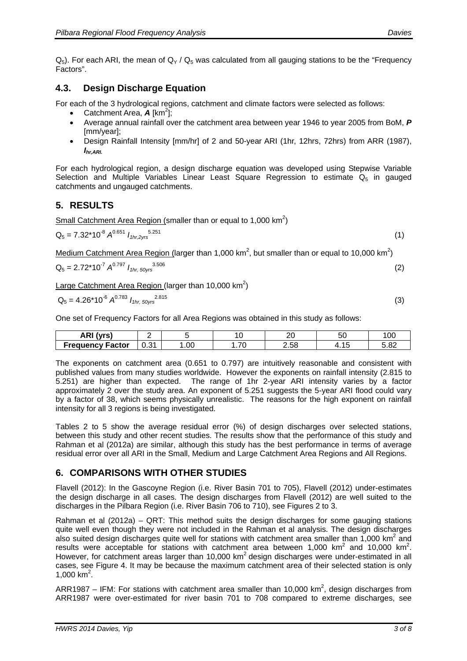$Q_5$ ). For each ARI, the mean of  $Q_Y / Q_5$  was calculated from all gauging stations to be the "Frequency" Factors".

# **4.3. Design Discharge Equation**

For each of the 3 hydrological regions, catchment and climate factors were selected as follows:

- Catchment Area,  $\bm{A}$  [km<sup>2</sup>];
- Average annual rainfall over the catchment area between year 1946 to year 2005 from BoM, *P* [mm/year];
- Design Rainfall Intensity [mm/hr] of 2 and 50-year ARI (1hr, 12hrs, 72hrs) from ARR (1987), *Ihr,ARI.*

For each hydrological region, a design discharge equation was developed using Stepwise Variable Selection and Multiple Variables Linear Least Square Regression to estimate  $Q_5$  in gauged catchments and ungauged catchments.

# **5. RESULTS**

Small Catchment Area Region (smaller than or equal to 1,000  $km^2$ )

$$
Q_5 = 7.32 \times 10^{-8} A^{0.651} I_{thr,2yrs}^{5.251}
$$
 (1)

Medium Catchment Area Region (larger than 1,000 km<sup>2</sup>, but smaller than or equal to 10,000 km<sup>2</sup>)

$$
Q_5 = 2.72 \times 10^{-7} A^{0.797} I_{thr, 50\text{yrs}}^{3.506}
$$
 (2)

Large Catchment Area Region (larger than 10,000  $\text{km}^2$ )

$$
Q_5 = 4.26*10^{-6} A^{0.783} I_{1hr, 50yrs}^{2.815}
$$
 (3)

One set of Frequency Factors for all Area Regions was obtained in this study as follows:

| \ D I <i>I</i> \<br>""<br>ANI | -                |     | ∽                    | ົ<br>∠∪ | - -<br>ວເ       | 100  |
|-------------------------------|------------------|-----|----------------------|---------|-----------------|------|
| Frequency Factor              | $\Omega$<br>U.OT | .00 | 70<br>. . <i>.</i> v | 2.58    | . -<br>-<br>. . | 5.82 |

The exponents on catchment area (0.651 to 0.797) are intuitively reasonable and consistent with published values from many studies worldwide. However the exponents on rainfall intensity (2.815 to 5.251) are higher than expected. The range of 1hr 2-year ARI intensity varies by a factor approximately 2 over the study area. An exponent of 5.251 suggests the 5-year ARI flood could vary by a factor of 38, which seems physically unrealistic. The reasons for the high exponent on rainfall intensity for all 3 regions is being investigated.

Tables 2 to 5 show the average residual error (%) of design discharges over selected stations, between this study and other recent studies. The results show that the performance of this study and Rahman et al (2012a) are similar, although this study has the best performance in terms of average residual error over all ARI in the Small, Medium and Large Catchment Area Regions and All Regions.

# **6. COMPARISONS WITH OTHER STUDIES**

Flavell (2012): In the Gascoyne Region (i.e. River Basin 701 to 705), Flavell (2012) under-estimates the design discharge in all cases. The design discharges from Flavell (2012) are well suited to the discharges in the Pilbara Region (i.e. River Basin 706 to 710), see Figures 2 to 3.

Rahman et al (2012a) – QRT: This method suits the design discharges for some gauging stations quite well even though they were not included in the Rahman et al analysis. The design discharges also suited design discharges quite well for stations with catchment area smaller than 1,000 km<sup>2</sup> and results were acceptable for stations with catchment area between 1,000  $km^2$  and 10,000  $km^2$ . However, for catchment areas larger than 10,000  $km^2$  design discharges were under-estimated in all cases, see Figure 4. It may be because the maximum catchment area of their selected station is only 1,000  $km^2$ .

ARR1987 – IFM: For stations with catchment area smaller than 10,000  $km^2$ , design discharges from ARR1987 were over-estimated for river basin 701 to 708 compared to extreme discharges, see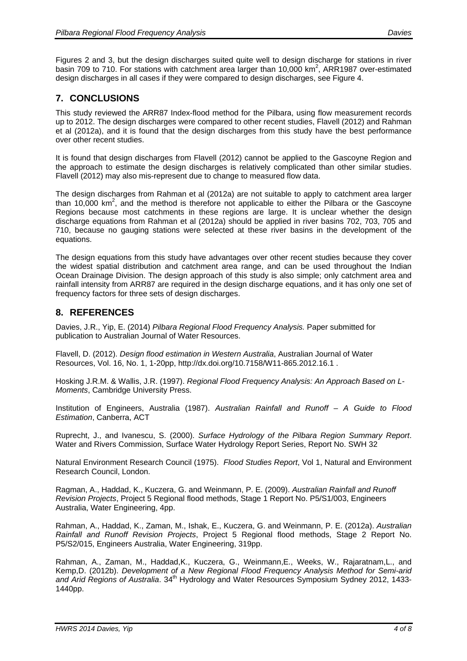Figures 2 and 3, but the design discharges suited quite well to design discharge for stations in river basin 709 to 710. For stations with catchment area larger than 10,000 km<sup>2</sup>, ARR1987 over-estimated design discharges in all cases if they were compared to design discharges, see Figure 4.

### **7. CONCLUSIONS**

This study reviewed the ARR87 Index-flood method for the Pilbara, using flow measurement records up to 2012. The design discharges were compared to other recent studies, Flavell (2012) and Rahman et al (2012a), and it is found that the design discharges from this study have the best performance over other recent studies.

It is found that design discharges from Flavell (2012) cannot be applied to the Gascoyne Region and the approach to estimate the design discharges is relatively complicated than other similar studies. Flavell (2012) may also mis-represent due to change to measured flow data.

The design discharges from Rahman et al (2012a) are not suitable to apply to catchment area larger than 10,000  $\text{km}^2$ , and the method is therefore not applicable to either the Pilbara or the Gascoyne Regions because most catchments in these regions are large. It is unclear whether the design discharge equations from Rahman et al (2012a) should be applied in river basins 702, 703, 705 and 710, because no gauging stations were selected at these river basins in the development of the equations.

The design equations from this study have advantages over other recent studies because they cover the widest spatial distribution and catchment area range, and can be used throughout the Indian Ocean Drainage Division. The design approach of this study is also simple; only catchment area and rainfall intensity from ARR87 are required in the design discharge equations, and it has only one set of frequency factors for three sets of design discharges.

### **8. REFERENCES**

Davies, J.R., Yip, E. (2014) *Pilbara Regional Flood Frequency Analysis.* Paper submitted for publication to Australian Journal of Water Resources.

Flavell, D. (2012). *Design flood estimation in Western Australia*, Australian Journal of Water Resources, Vol. 16, No. 1, 1-20pp, http://dx.doi.org/10.7158/W11-865.2012.16.1 .

Hosking J.R.M. & Wallis, J.R. (1997). *Regional Flood Frequency Analysis: An Approach Based on L-Moments*, Cambridge University Press.

Institution of Engineers, Australia (1987). *Australian Rainfall and Runoff – A Guide to Flood Estimation*, Canberra, ACT

Ruprecht, J., and Ivanescu, S. (2000). *Surface Hydrology of the Pilbara Region Summary Report*. Water and Rivers Commission, Surface Water Hydrology Report Series, Report No. SWH 32

Natural Environment Research Council (1975). *Flood Studies Report*, Vol 1, Natural and Environment Research Council, London.

Ragman, A., Haddad, K., Kuczera, G. and Weinmann, P. E. (2009). *Australian Rainfall and Runoff Revision Projects*, Project 5 Regional flood methods, Stage 1 Report No. P5/S1/003, Engineers Australia, Water Engineering, 4pp.

Rahman, A., Haddad, K., Zaman, M., Ishak, E., Kuczera, G. and Weinmann, P. E. (2012a). *Australian Rainfall and Runoff Revision Projects*, Project 5 Regional flood methods, Stage 2 Report No. P5/S2/015, Engineers Australia, Water Engineering, 319pp.

Rahman, A., Zaman, M., Haddad,K., Kuczera, G., Weinmann,E., Weeks, W., Rajaratnam,L., and Kemp,D. (2012b). *Development of a New Regional Flood Frequency Analysis Method for Semi-arid*  and Arid Regions of Australia. 34<sup>th</sup> Hydrology and Water Resources Symposium Sydney 2012, 1433-1440pp.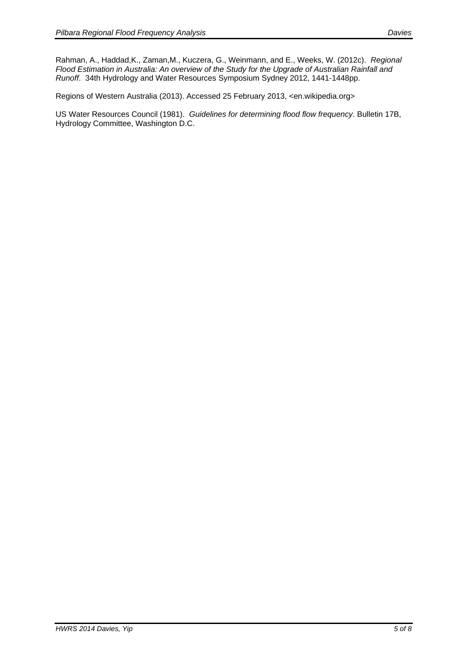Rahman, A., Haddad,K., Zaman,M., Kuczera, G., Weinmann, and E., Weeks, W. (2012c). *Regional Flood Estimation in Australia: An overview of the Study for the Upgrade of Australian Rainfall and Runoff*. 34th Hydrology and Water Resources Symposium Sydney 2012, 1441-1448pp.

Regions of Western Australia (2013). Accessed 25 February 2013, <en.wikipedia.org>

US Water Resources Council (1981). *Guidelines for determining flood flow frequency*. Bulletin 17B, Hydrology Committee, Washington D.C.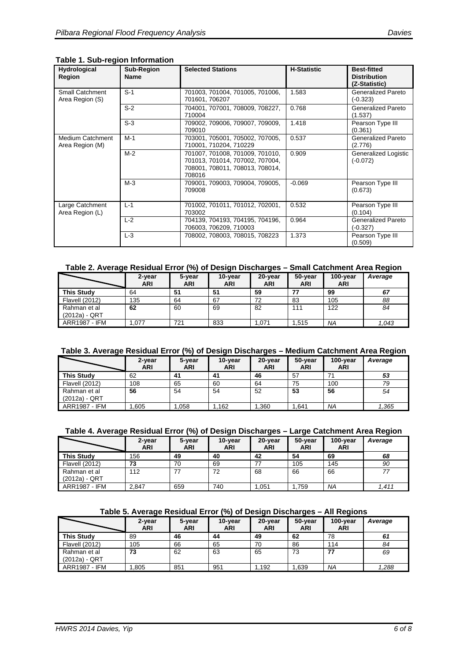#### **Table 1. Sub-region Information**

| Hydrological<br>Region                     | Sub-Region<br><b>Name</b> | <b>Selected Stations</b>                                                                                        | <b>H-Statistic</b> | <b>Best-fitted</b><br><b>Distribution</b><br>(Z-Statistic) |
|--------------------------------------------|---------------------------|-----------------------------------------------------------------------------------------------------------------|--------------------|------------------------------------------------------------|
| Small Catchment<br>Area Region (S)         | $S-1$                     | 701003, 701004, 701005, 701006,<br>701601.706207                                                                | 1.583              | Generalized Pareto<br>(-0.323)                             |
|                                            | $S-2$                     | 704001, 707001, 708009, 708227,<br>710004                                                                       | 0.768              | Generalized Pareto<br>(1.537)                              |
|                                            | $S-3$                     | 709002, 709006, 709007, 709009,<br>709010                                                                       | 1.418              | Pearson Type III<br>(0.361)                                |
| <b>Medium Catchment</b><br>Area Region (M) | $M-1$                     | 703001, 705001, 705002, 707005,<br>710001, 710204, 710229                                                       | 0.537              | Generalized Pareto<br>(2.776)                              |
|                                            | $M-2$                     | 701007, 701008, 701009, 701010,<br>701013, 701014, 707002, 707004,<br>708001, 708011, 708013, 708014,<br>708016 | 0.909              | Generalized Logistic<br>$(-0.072)$                         |
|                                            | $M-3$                     | 709001, 709003, 709004, 709005,<br>709008                                                                       | $-0.069$           | Pearson Type III<br>(0.673)                                |
| Large Catchment<br>Area Region (L)         | $L-1$                     | 701002, 701011, 701012, 702001,<br>703002                                                                       | 0.532              | Pearson Type III<br>(0.104)                                |
|                                            | $L-2$                     | 704139, 704193, 704195, 704196,<br>706003, 706209, 710003                                                       | 0.964              | <b>Generalized Pareto</b><br>(-0.327)                      |
|                                            | $L-3$                     | 708002, 708003, 708015, 708223                                                                                  | 1.373              | Pearson Type III<br>(0.509)                                |

#### **Table 2. Average Residual Error (%) of Design Discharges – Small Catchment Area Region**

|                               | 2-year<br><b>ARI</b> | 5-year<br><b>ARI</b> | 10-year<br><b>ARI</b> | 20-year<br><b>ARI</b> | 50-year<br><b>ARI</b> | 100-year<br><b>ARI</b> | Average |
|-------------------------------|----------------------|----------------------|-----------------------|-----------------------|-----------------------|------------------------|---------|
| This Study                    | 64                   | 51                   | 51                    | 59                    | 77                    | 99                     | 67      |
| <b>Flavell (2012)</b>         | 135                  | 64                   | 67                    | 72                    | 83                    | 105                    | 88      |
| Rahman et al<br>(2012a) - QRT | 62                   | 60                   | 69                    | 82                    | 111                   | 122                    | 84      |
| <b>ARR1987 - IFM</b>          | .077                 | 721                  | 833                   | 1.071                 | l.515                 | ΝA                     | 1.043   |

#### **Table 3. Average Residual Error (%) of Design Discharges – Medium Catchment Area Region**

|                               | 2-year<br><b>ARI</b> | 5-year<br><b>ARI</b> | 10-year<br>ARI | 20-year<br><b>ARI</b> | 50-year<br>ARI | $100$ -year<br><b>ARI</b> | Average |
|-------------------------------|----------------------|----------------------|----------------|-----------------------|----------------|---------------------------|---------|
| <b>This Study</b>             | 62                   | 41                   | 41             | 46                    | 57             | 71                        | 53      |
| <b>Flavell (2012)</b>         | 108                  | 65                   | 60             | 64                    | 75             | 100                       | 79      |
| Rahman et al<br>(2012a) - QRT | 56                   | 54                   | 54             | 52                    | 53             | 56                        | 54      |
| <b>ARR1987 - IFM</b>          | .605                 | .058                 | .162           | .360                  | .641           | <b>NA</b>                 | 1,365   |

#### **Table 4. Average Residual Error (%) of Design Discharges – Large Catchment Area Region**

|                      | 2-year<br>ARI | 5-year<br><b>ARI</b> | 10-year<br><b>ARI</b> | 20-year<br><b>ARI</b> | 50-year<br><b>ARI</b> | $100$ -year<br><b>ARI</b> | Average |
|----------------------|---------------|----------------------|-----------------------|-----------------------|-----------------------|---------------------------|---------|
| <b>This Study</b>    | 156           | 49                   | 40                    | 42                    | 54                    | 69                        | 68      |
| Flavell (2012)       | 73            | 70                   | 69                    |                       | 105                   | 145                       | 90      |
| Rahman et al         | 112           | 77                   | 72                    | 68                    | 66                    | 66                        | 77      |
| $(2012a) - QRT$      |               |                      |                       |                       |                       |                           |         |
| <b>ARR1987 - IFM</b> | 2.847         | 659                  | 740                   | .051                  | .759                  | <b>NA</b>                 | 1.411   |

#### **Table 5. Average Residual Error (%) of Design Discharges – All Regions**

|                               | 2-year<br>ARI | 5-year<br><b>ARI</b> | 10-year<br>ARI | 20-year<br>ARI | 50-year<br><b>ARI</b> | $100$ -year<br><b>ARI</b> | Average |
|-------------------------------|---------------|----------------------|----------------|----------------|-----------------------|---------------------------|---------|
| This Study                    | 89            | 46                   | 44             | 49             | 62                    | 78                        | 61      |
| <b>Flavell (2012)</b>         | 105           | 66                   | 65             | 70             | 86                    | 114                       | 84      |
| Rahman et al<br>(2012a) - QRT | 73            | 62                   | 63             | 65             | 73                    | 77                        | 69      |
| <b>ARR1987 - IFM</b>          | .805          | 851                  | 951            | .192           | .639                  | <b>NA</b>                 | 1.288   |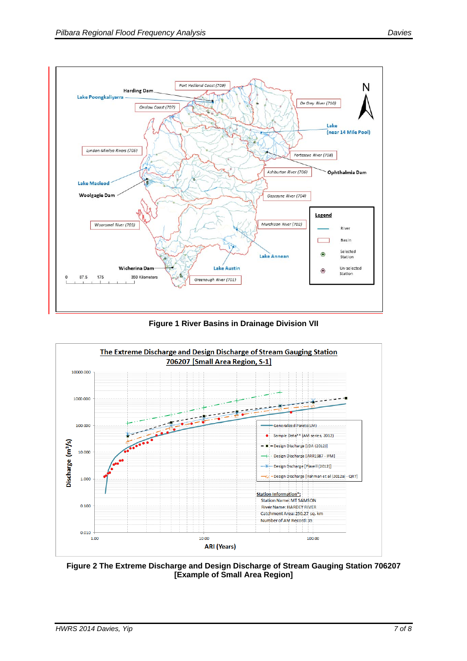

**Figure 1 River Basins in Drainage Division VII** 



**Figure 2 The Extreme Discharge and Design Discharge of Stream Gauging Station 706207 [Example of Small Area Region]**